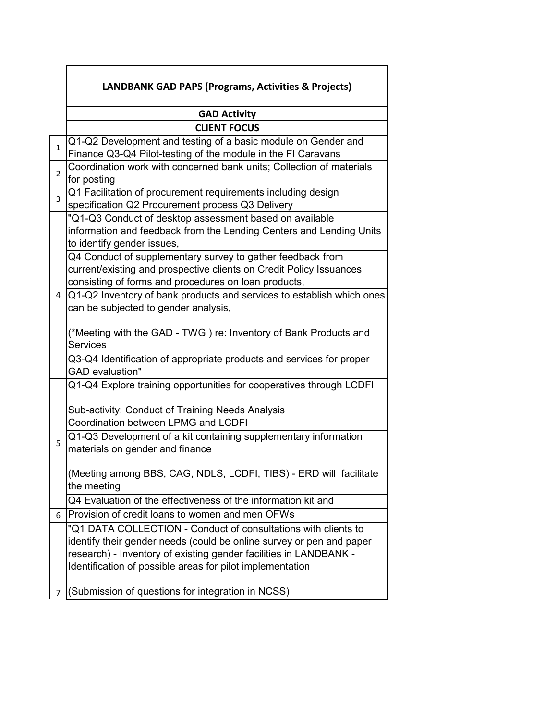|                | <b>LANDBANK GAD PAPS (Programs, Activities &amp; Projects)</b>                                                                                                                                                                                                           |
|----------------|--------------------------------------------------------------------------------------------------------------------------------------------------------------------------------------------------------------------------------------------------------------------------|
|                | <b>GAD Activity</b>                                                                                                                                                                                                                                                      |
|                | <b>CLIENT FOCUS</b>                                                                                                                                                                                                                                                      |
| 1              | Q1-Q2 Development and testing of a basic module on Gender and<br>Finance Q3-Q4 Pilot-testing of the module in the FI Caravans                                                                                                                                            |
| $\overline{2}$ | Coordination work with concerned bank units; Collection of materials<br>for posting                                                                                                                                                                                      |
| 3              | Q1 Facilitation of procurement requirements including design<br>specification Q2 Procurement process Q3 Delivery                                                                                                                                                         |
|                | "Q1-Q3 Conduct of desktop assessment based on available<br>information and feedback from the Lending Centers and Lending Units<br>to identify gender issues,                                                                                                             |
|                | Q4 Conduct of supplementary survey to gather feedback from<br>current/existing and prospective clients on Credit Policy Issuances<br>consisting of forms and procedures on loan products,                                                                                |
| 4              | Q1-Q2 Inventory of bank products and services to establish which ones<br>can be subjected to gender analysis,                                                                                                                                                            |
|                | (*Meeting with the GAD - TWG) re: Inventory of Bank Products and<br><b>Services</b>                                                                                                                                                                                      |
|                | Q3-Q4 Identification of appropriate products and services for proper<br><b>GAD</b> evaluation"                                                                                                                                                                           |
|                | Q1-Q4 Explore training opportunities for cooperatives through LCDFI                                                                                                                                                                                                      |
| 5              | Sub-activity: Conduct of Training Needs Analysis<br>Coordination between LPMG and LCDFI                                                                                                                                                                                  |
|                | Q1-Q3 Development of a kit containing supplementary information<br>materials on gender and finance                                                                                                                                                                       |
|                | (Meeting among BBS, CAG, NDLS, LCDFI, TIBS) - ERD will facilitate<br>the meeting                                                                                                                                                                                         |
|                | Q4 Evaluation of the effectiveness of the information kit and                                                                                                                                                                                                            |
| 6              | Provision of credit loans to women and men OFWs                                                                                                                                                                                                                          |
|                | "Q1 DATA COLLECTION - Conduct of consultations with clients to<br>identify their gender needs (could be online survey or pen and paper<br>research) - Inventory of existing gender facilities in LANDBANK -<br>Identification of possible areas for pilot implementation |
| 7              | (Submission of questions for integration in NCSS)                                                                                                                                                                                                                        |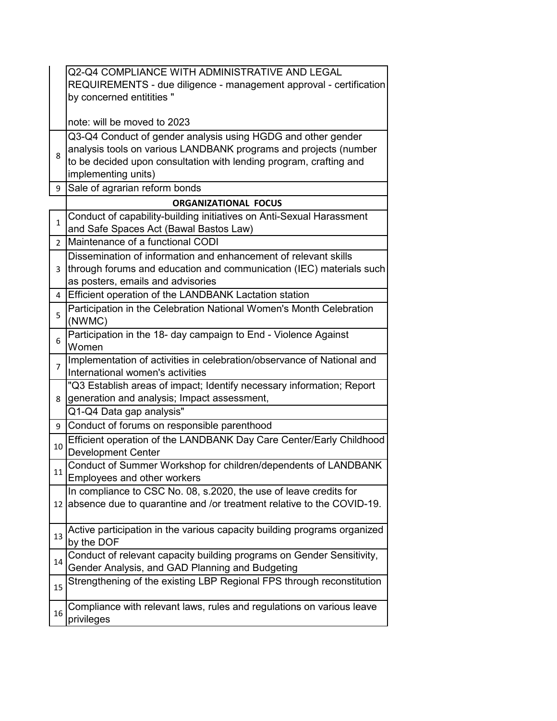|                | Q2-Q4 COMPLIANCE WITH ADMINISTRATIVE AND LEGAL                                                                                                                                                                                |
|----------------|-------------------------------------------------------------------------------------------------------------------------------------------------------------------------------------------------------------------------------|
|                | REQUIREMENTS - due diligence - management approval - certification                                                                                                                                                            |
|                | by concerned entitities "                                                                                                                                                                                                     |
|                | note: will be moved to 2023                                                                                                                                                                                                   |
| 8              | Q3-Q4 Conduct of gender analysis using HGDG and other gender<br>analysis tools on various LANDBANK programs and projects (number<br>to be decided upon consultation with lending program, crafting and<br>implementing units) |
| 9              | Sale of agrarian reform bonds                                                                                                                                                                                                 |
|                | <b>ORGANIZATIONAL FOCUS</b>                                                                                                                                                                                                   |
| $\mathbf{1}$   | Conduct of capability-building initiatives on Anti-Sexual Harassment<br>and Safe Spaces Act (Bawal Bastos Law)                                                                                                                |
| $\overline{2}$ | Maintenance of a functional CODI                                                                                                                                                                                              |
| 3              | Dissemination of information and enhancement of relevant skills<br>through forums and education and communication (IEC) materials such<br>as posters, emails and advisories                                                   |
| 4              | Efficient operation of the LANDBANK Lactation station                                                                                                                                                                         |
| 5              | Participation in the Celebration National Women's Month Celebration<br>(NWMC)                                                                                                                                                 |
| 6              | Participation in the 18- day campaign to End - Violence Against<br>Women                                                                                                                                                      |
| 7              | Implementation of activities in celebration/observance of National and<br>International women's activities                                                                                                                    |
| 8              | "Q3 Establish areas of impact; Identify necessary information; Report<br>generation and analysis; Impact assessment,                                                                                                          |
|                | Q1-Q4 Data gap analysis"                                                                                                                                                                                                      |
| 9              | Conduct of forums on responsible parenthood                                                                                                                                                                                   |
| 10             | Efficient operation of the LANDBANK Day Care Center/Early Childhood<br><b>Development Center</b>                                                                                                                              |
| 11             | Conduct of Summer Workshop for children/dependents of LANDBANK<br>Employees and other workers                                                                                                                                 |
| 12             | In compliance to CSC No. 08, s.2020, the use of leave credits for<br>absence due to quarantine and /or treatment relative to the COVID-19.                                                                                    |
| 13             | Active participation in the various capacity building programs organized<br>by the DOF                                                                                                                                        |
| 14             | Conduct of relevant capacity building programs on Gender Sensitivity,<br>Gender Analysis, and GAD Planning and Budgeting                                                                                                      |
| 15             | Strengthening of the existing LBP Regional FPS through reconstitution                                                                                                                                                         |
| 16             | Compliance with relevant laws, rules and regulations on various leave<br>privileges                                                                                                                                           |
|                |                                                                                                                                                                                                                               |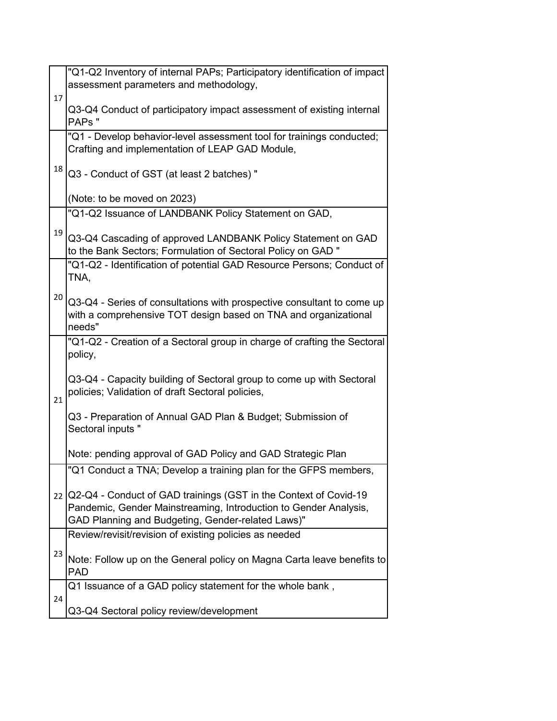|    | "Q1-Q2 Inventory of internal PAPs; Participatory identification of impact                                                                                                                    |
|----|----------------------------------------------------------------------------------------------------------------------------------------------------------------------------------------------|
|    | assessment parameters and methodology,                                                                                                                                                       |
| 17 | Q3-Q4 Conduct of participatory impact assessment of existing internal<br>PAPs"                                                                                                               |
|    | "Q1 - Develop behavior-level assessment tool for trainings conducted;<br>Crafting and implementation of LEAP GAD Module,                                                                     |
| 18 | Q3 - Conduct of GST (at least 2 batches) "                                                                                                                                                   |
|    | (Note: to be moved on 2023)                                                                                                                                                                  |
|    | "Q1-Q2 Issuance of LANDBANK Policy Statement on GAD,                                                                                                                                         |
| 19 | Q3-Q4 Cascading of approved LANDBANK Policy Statement on GAD<br>to the Bank Sectors; Formulation of Sectoral Policy on GAD "                                                                 |
|    | "Q1-Q2 - Identification of potential GAD Resource Persons; Conduct of<br>TNA,                                                                                                                |
| 20 | Q3-Q4 - Series of consultations with prospective consultant to come up<br>with a comprehensive TOT design based on TNA and organizational<br>needs"                                          |
|    | "Q1-Q2 - Creation of a Sectoral group in charge of crafting the Sectoral<br>policy,                                                                                                          |
| 21 | Q3-Q4 - Capacity building of Sectoral group to come up with Sectoral<br>policies; Validation of draft Sectoral policies,                                                                     |
|    | Q3 - Preparation of Annual GAD Plan & Budget; Submission of<br>Sectoral inputs "                                                                                                             |
|    | Note: pending approval of GAD Policy and GAD Strategic Plan                                                                                                                                  |
|    | "Q1 Conduct a TNA; Develop a training plan for the GFPS members,                                                                                                                             |
|    | 22 Q2-Q4 - Conduct of GAD trainings (GST in the Context of Covid-19<br>Pandemic, Gender Mainstreaming, Introduction to Gender Analysis,<br>GAD Planning and Budgeting, Gender-related Laws)" |
|    | Review/revisit/revision of existing policies as needed                                                                                                                                       |
| 23 | Note: Follow up on the General policy on Magna Carta leave benefits to<br><b>PAD</b>                                                                                                         |
|    | Q1 Issuance of a GAD policy statement for the whole bank,                                                                                                                                    |
| 24 | Q3-Q4 Sectoral policy review/development                                                                                                                                                     |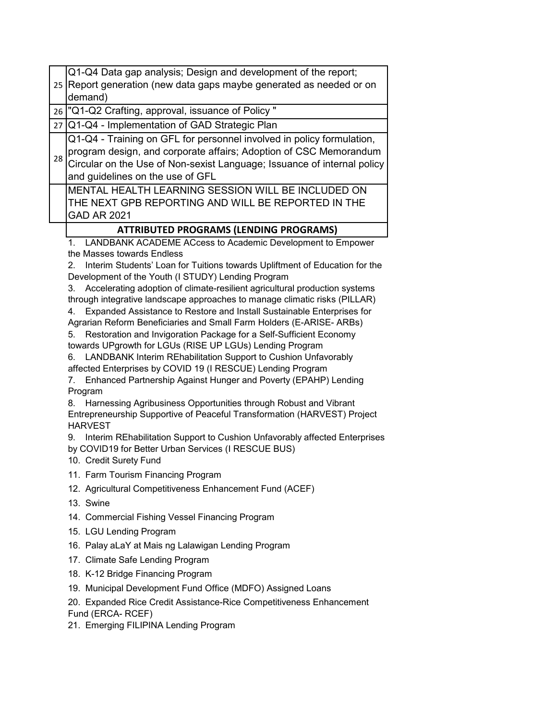| 25 |                                                                                                                                                                                                                                                                                                                                                                                                                                                                                                                                                                                                                                                                                                                                                                                                                                                                                                                                                                                                                                                                                                                                                                                                                                                                                                                             |
|----|-----------------------------------------------------------------------------------------------------------------------------------------------------------------------------------------------------------------------------------------------------------------------------------------------------------------------------------------------------------------------------------------------------------------------------------------------------------------------------------------------------------------------------------------------------------------------------------------------------------------------------------------------------------------------------------------------------------------------------------------------------------------------------------------------------------------------------------------------------------------------------------------------------------------------------------------------------------------------------------------------------------------------------------------------------------------------------------------------------------------------------------------------------------------------------------------------------------------------------------------------------------------------------------------------------------------------------|
|    | Report generation (new data gaps maybe generated as needed or on                                                                                                                                                                                                                                                                                                                                                                                                                                                                                                                                                                                                                                                                                                                                                                                                                                                                                                                                                                                                                                                                                                                                                                                                                                                            |
|    | demand)                                                                                                                                                                                                                                                                                                                                                                                                                                                                                                                                                                                                                                                                                                                                                                                                                                                                                                                                                                                                                                                                                                                                                                                                                                                                                                                     |
| 26 | "Q1-Q2 Crafting, approval, issuance of Policy "                                                                                                                                                                                                                                                                                                                                                                                                                                                                                                                                                                                                                                                                                                                                                                                                                                                                                                                                                                                                                                                                                                                                                                                                                                                                             |
| 27 | Q1-Q4 - Implementation of GAD Strategic Plan                                                                                                                                                                                                                                                                                                                                                                                                                                                                                                                                                                                                                                                                                                                                                                                                                                                                                                                                                                                                                                                                                                                                                                                                                                                                                |
| 28 | Q1-Q4 - Training on GFL for personnel involved in policy formulation,<br>program design, and corporate affairs; Adoption of CSC Memorandum<br>Circular on the Use of Non-sexist Language; Issuance of internal policy<br>and guidelines on the use of GFL                                                                                                                                                                                                                                                                                                                                                                                                                                                                                                                                                                                                                                                                                                                                                                                                                                                                                                                                                                                                                                                                   |
|    | MENTAL HEALTH LEARNING SESSION WILL BE INCLUDED ON<br>THE NEXT GPB REPORTING AND WILL BE REPORTED IN THE<br><b>GAD AR 2021</b>                                                                                                                                                                                                                                                                                                                                                                                                                                                                                                                                                                                                                                                                                                                                                                                                                                                                                                                                                                                                                                                                                                                                                                                              |
|    | <b>ATTRIBUTED PROGRAMS (LENDING PROGRAMS)</b>                                                                                                                                                                                                                                                                                                                                                                                                                                                                                                                                                                                                                                                                                                                                                                                                                                                                                                                                                                                                                                                                                                                                                                                                                                                                               |
|    | LANDBANK ACADEME ACcess to Academic Development to Empower<br>$1_{-}$<br>the Masses towards Endless<br>Interim Students' Loan for Tuitions towards Upliftment of Education for the<br>2.<br>Development of the Youth (I STUDY) Lending Program<br>3. Accelerating adoption of climate-resilient agricultural production systems<br>through integrative landscape approaches to manage climatic risks (PILLAR)<br>Expanded Assistance to Restore and Install Sustainable Enterprises for<br>4.<br>Agrarian Reform Beneficiaries and Small Farm Holders (E-ARISE- ARBs)<br>Restoration and Invigoration Package for a Self-Sufficient Economy<br>5.<br>towards UPgrowth for LGUs (RISE UP LGUs) Lending Program<br>LANDBANK Interim REhabilitation Support to Cushion Unfavorably<br>6.<br>affected Enterprises by COVID 19 (I RESCUE) Lending Program<br>Enhanced Partnership Against Hunger and Poverty (EPAHP) Lending<br>7.<br>Program<br>Harnessing Agribusiness Opportunities through Robust and Vibrant<br>8.<br>Entrepreneurship Supportive of Peaceful Transformation (HARVEST) Project<br><b>HARVEST</b><br>Interim REhabilitation Support to Cushion Unfavorably affected Enterprises<br>9.<br>by COVID19 for Better Urban Services (I RESCUE BUS)<br>10. Credit Surety Fund<br>11. Farm Tourism Financing Program |
|    | 12. Agricultural Competitiveness Enhancement Fund (ACEF)<br>13. Swine                                                                                                                                                                                                                                                                                                                                                                                                                                                                                                                                                                                                                                                                                                                                                                                                                                                                                                                                                                                                                                                                                                                                                                                                                                                       |
|    | 14. Commercial Fishing Vessel Financing Program<br>15. LGU Lending Program                                                                                                                                                                                                                                                                                                                                                                                                                                                                                                                                                                                                                                                                                                                                                                                                                                                                                                                                                                                                                                                                                                                                                                                                                                                  |
|    | 16. Palay aLaY at Mais ng Lalawigan Lending Program                                                                                                                                                                                                                                                                                                                                                                                                                                                                                                                                                                                                                                                                                                                                                                                                                                                                                                                                                                                                                                                                                                                                                                                                                                                                         |
|    | 17. Climate Safe Lending Program                                                                                                                                                                                                                                                                                                                                                                                                                                                                                                                                                                                                                                                                                                                                                                                                                                                                                                                                                                                                                                                                                                                                                                                                                                                                                            |
|    | 18. K-12 Bridge Financing Program                                                                                                                                                                                                                                                                                                                                                                                                                                                                                                                                                                                                                                                                                                                                                                                                                                                                                                                                                                                                                                                                                                                                                                                                                                                                                           |
|    | 19. Municipal Development Fund Office (MDFO) Assigned Loans                                                                                                                                                                                                                                                                                                                                                                                                                                                                                                                                                                                                                                                                                                                                                                                                                                                                                                                                                                                                                                                                                                                                                                                                                                                                 |
|    | 20. Expanded Rice Credit Assistance-Rice Competitiveness Enhancement<br>Fund (ERCA-RCEF)<br>21. Emerging FILIPINA Lending Program                                                                                                                                                                                                                                                                                                                                                                                                                                                                                                                                                                                                                                                                                                                                                                                                                                                                                                                                                                                                                                                                                                                                                                                           |